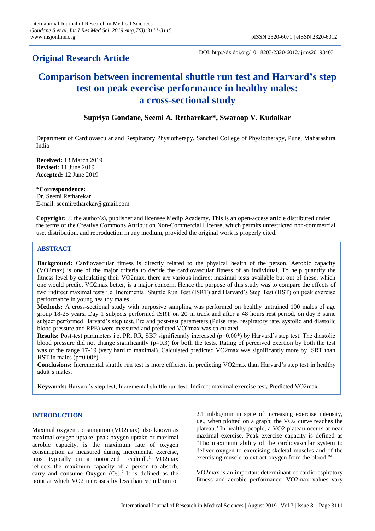# **Original Research Article**

DOI: http://dx.doi.org/10.18203/2320-6012.ijrms20193403

# **Comparison between incremental shuttle run test and Harvard's step test on peak exercise performance in healthy males: a cross-sectional study**

# **Supriya Gondane, Seemi A. Retharekar\*, Swaroop V. Kudalkar**

Department of Cardiovascular and Respiratory Physiotherapy, Sancheti College of Physiotherapy, Pune, Maharashtra, India

**Received:** 13 March 2019 **Revised:** 11 June 2019 **Accepted:** 12 June 2019

#### **\*Correspondence:**

Dr. Seemi Retharekar, E-mail: seemiretharekar@gmail.com

**Copyright:** © the author(s), publisher and licensee Medip Academy. This is an open-access article distributed under the terms of the Creative Commons Attribution Non-Commercial License, which permits unrestricted non-commercial use, distribution, and reproduction in any medium, provided the original work is properly cited.

# **ABSTRACT**

**Background:** Cardiovascular fitness is directly related to the physical health of the person. Aerobic capacity (VO2max) is one of the major criteria to decide the cardiovascular fitness of an individual. To help quantify the fitness level by calculating their VO2max, there are various indirect maximal tests available but out of these, which one would predict VO2max better, is a major concern. Hence the purpose of this study was to compare the effects of two indirect maximal tests i.e. Incremental Shuttle Run Test (ISRT) and Harvard's Step Test (HST) on peak exercise performance in young healthy males.

**Methods:** A cross-sectional study with purposive sampling was performed on healthy untrained 100 males of age group 18-25 years. Day 1 subjects performed ISRT on 20 m track and after a 48 hours rest period, on day 3 same subject performed Harvard's step test. Pre and post-test parameters (Pulse rate, respiratory rate, systolic and diastolic blood pressure and RPE) were measured and predicted VO2max was calculated.

**Results:** Post-test parameters i.e. PR, RR, SBP significantly increased  $(p=0.00*)$  by Harvard's step test. The diastolic blood pressure did not change significantly  $(p=0.3)$  for both the tests. Rating of perceived exertion by both the test was of the range 17-19 (very hard to maximal). Calculated predicted VO2max was significantly more by ISRT than HST in males  $(p=0.00^*)$ .

**Conclusions:** Incremental shuttle run test is more efficient in predicting VO2max than Harvard's step test in healthy adult's males.

**Keywords:** Harvard's step test, Incremental shuttle run test, Indirect maximal exercise test**,** Predicted VO2max

# **INTRODUCTION**

Maximal oxygen consumption (VO2max) also known as maximal oxygen uptake, peak oxygen uptake or maximal aerobic capacity, is the maximum rate of oxygen consumption as measured during incremental exercise, most typically on a motorized treadmill.<sup>1</sup> VO2max reflects the maximum capacity of a person to absorb, carry and consume Oxygen  $(O_2)$ .<sup>2</sup> It is defined as the point at which VO2 increases by less than 50 ml/min or 2.1 ml/kg/min in spite of increasing exercise intensity, i.e., when plotted on a graph, the VO2 curve reaches the plateau.<sup>3</sup> In healthy people, a VO2 plateau occurs at near maximal exercise. Peak exercise capacity is defined as "The maximum ability of the cardiovascular system to deliver oxygen to exercising skeletal muscles and of the exercising muscle to extract oxygen from the blood."4

VO2max is an important determinant of cardiorespiratory fitness and aerobic performance. VO2max values vary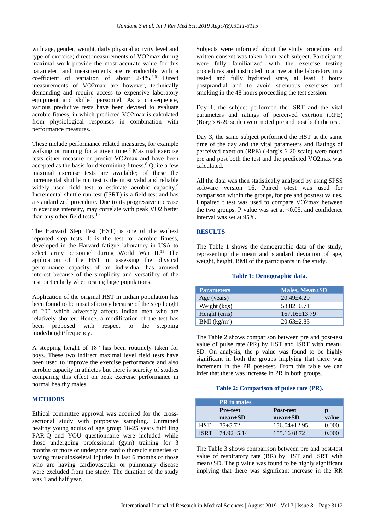with age, gender, weight, daily physical activity level and type of exercise; direct measurements of VO2max during maximal work provide the most accurate value for this parameter, and measurements are reproducible with a coefficient of variation of about 2-4%.<sup>5,6</sup> Direct measurements of VO2max are however, technically demanding and require access to expensive laboratory equipment and skilled personnel. As a consequence, various predictive tests have been devised to evaluate aerobic fitness, in which predicted VO2max is calculated from physiological responses in combination with performance measures.

These include performance related measures, for example walking or running for a given time.<sup>7</sup> Maximal exercise tests either measure or predict VO2max and have been accepted as the basis for determining fitness.<sup>8</sup> Quite a few maximal exercise tests are available; of these the incremental shuttle run test is the most valid and reliable widely used field test to estimate aerobic capacity.<sup>9</sup> Incremental shuttle run test (ISRT) is a field test and has a standardized procedure. Due to its progressive increase in exercise intensity, may correlate with peak VO2 better than any other field tests.<sup>10</sup>

The Harvard Step Test (HST) is one of the earliest reported step tests. It is the test for aerobic fitness, developed in the Harvard fatigue laboratory in USA to select army personnel during World War  $II$ <sup>11</sup> The application of the HST in assessing the physical performance capacity of an individual has aroused interest because of the simplicity and versatility of the test particularly when testing large populations.

Application of the original HST in Indian population has been found to be unsatisfactory because of the step height of 20" which adversely affects Indian men who are relatively shorter. Hence, a modification of the test has been proposed with respect to the stepping mode/height/frequency.

A stepping height of 18" has been routinely taken for boys. These two indirect maximal level field tests have been used to improve the exercise performance and also aerobic capacity in athletes but there is scarcity of studies comparing this effect on peak exercise performance in normal healthy males.

# **METHODS**

Ethical committee approval was acquired for the crosssectional study with purposive sampling. Untrained healthy young adults of age group 18-25 years fulfilling PAR-Q and YOU questionnaire were included while those undergoing professional (gym) training for 3 months or more or undergone cardio thoracic surgeries or having musculoskeletal injuries in last 6 months or those who are having cardiovascular or pulmonary disease were excluded from the study. The duration of the study was 1 and half year.

Subjects were informed about the study procedure and written consent was taken from each subject. Participants were fully familiarized with the exercise testing procedures and instructed to arrive at the laboratory in a rested and fully hydrated state, at least 3 hours postprandial and to avoid strenuous exercises and smoking in the 48 hours proceeding the test session.

Day 1, the subject performed the ISRT and the vital parameters and ratings of perceived exertion (RPE) (Borg's 6-20 scale) were noted pre and post both the test.

Day 3, the same subject performed the HST at the same time of the day and the vital parameters and Ratings of perceived exertion (RPE) (Borg's 6-20 scale) were noted pre and post both the test and the predicted VO2max was calculated.

All the data was then statistically analysed by using SPSS software version 16. Paired t-test was used for comparison within the groups, for pre and posttest values. Unpaired t test was used to compare VO2max between the two groups. P value was set at  $<0.05$  and confidence interval was set at 95%.

# **RESULTS**

The Table 1 shows the demographic data of the study, representing the mean and standard deviation of age, weight, height, BMI of the participants in the study.

#### **Table 1: Demographic data.**

| <b>Parameters</b> | Males, Mean±SD     |
|-------------------|--------------------|
| Age (years)       | $20.49 + 4.29$     |
| Weight (kgs)      | $58.82+0.71$       |
| Height (cms)      | $167.16 \pm 13.79$ |
| BMI $(kg/m^2)$    | $20.63 \pm 2.83$   |

The Table 2 shows comparison between pre and post-test value of pulse rate (PR) by HST and ISRT with mean± SD. On analysis, the p value was found to be highly significant in both the groups implying that there was increment in the PR post-test. From this table we can infer that there was increase in PR in both groups.

#### **Table 2: Comparison of pulse rate (PR).**

|             | <b>PR</b> in males |                    |       |
|-------------|--------------------|--------------------|-------|
|             | <b>Pre-test</b>    | <b>Post-test</b>   |       |
|             | $mean \pm SD$      | $mean \pm SD$      | value |
| <b>HST</b>  | $75 + 5.72$        | $156.04 \pm 12.95$ | 0.000 |
| <b>ISRT</b> | $74.92 + 5.14$     | $155.16 + 8.72$    | 0.000 |

The Table 3 shows comparison between pre and post-test value of respiratory rate (RR) by HST and ISRT with mean±SD. The p value was found to be highly significant implying that there was significant increase in the RR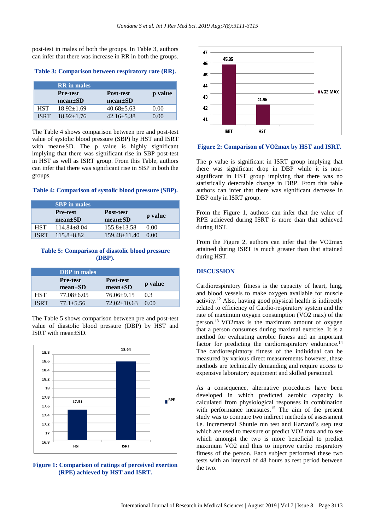post-test in males of both the groups. In Table 3, authors can infer that there was increase in RR in both the groups.

**Table 3: Comparison between respiratory rate (RR).**

|             | <b>RR</b> in males               |                            |         |
|-------------|----------------------------------|----------------------------|---------|
|             | <b>Pre-test</b><br>$mean \pm SD$ | Post-test<br>$mean \pm SD$ | p value |
| <b>HST</b>  | $18.92 \pm 1.69$                 | $40.68 + 5.63$             | 0.00    |
| <b>ISRT</b> | $18.92 + 1.76$                   | $42.16 + 5.38$             | 0 OO    |

The Table 4 shows comparison between pre and post-test value of systolic blood pressure (SBP) by HST and ISRT with mean $\pm$ SD. The p value is highly significant implying that there was significant rise in SBP post-test in HST as well as ISRT group. From this Table, authors can infer that there was significant rise in SBP in both the groups.

#### **Table 4: Comparison of systolic blood pressure (SBP).**

|             | <b>SBP</b> in males              |                                   |         |
|-------------|----------------------------------|-----------------------------------|---------|
|             | <b>Pre-test</b><br>$mean \pm SD$ | <b>Post-test</b><br>$mean \pm SD$ | p value |
| <b>HST</b>  | $114.84 + 8.04$                  | $155.8 \pm 13.58$                 | 0.00    |
| <b>ISRT</b> | $115.8 + 8.82$                   | $159.48 \pm 11.40$                | 0.00    |

#### **Table 5: Comparison of diastolic blood pressure (DBP).**

|             | <b>DBP</b> in males              |                            |         |
|-------------|----------------------------------|----------------------------|---------|
|             | <b>Pre-test</b><br>$mean \pm SD$ | Post-test<br>$mean \pm SD$ | p value |
| HST         | $77.08 \pm 6.05$                 | $76.06+9.15$               | 03      |
| <b>ISRT</b> | $77.1 + 5.56$                    | $72.02 \pm 10.63$          | 0.00    |

The Table 5 shows comparison between pre and post-test value of diastolic blood pressure (DBP) by HST and ISRT with mean±SD.







#### **Figure 2: Comparison of VO2max by HST and ISRT.**

The p value is significant in ISRT group implying that there was significant drop in DBP while it is nonsignificant in HST group implying that there was no statistically detectable change in DBP. From this table authors can infer that there was significant decrease in DBP only in ISRT group.

From the Figure 1, authors can infer that the value of RPE achieved during ISRT is more than that achieved during HST.

From the Figure 2, authors can infer that the VO2max attained during ISRT is much greater than that attained during HST.

#### **DISCUSSION**

Cardiorespiratory fitness is the capacity of heart, lung, and blood vessels to make oxygen available for muscle activity.<sup>12</sup> Also, having good physical health is indirectly related to efficiency of Cardio-respiratory system and the rate of maximum oxygen consumption (VO2 max) of the person.<sup>13</sup> VO2max is the maximum amount of oxygen that a person consumes during maximal exercise. It is a method for evaluating aerobic fitness and an important factor for predicting the cardiorespiratory endurance.<sup>14</sup> The cardiorespiratory fitness of the individual can be measured by various direct measurements however, these methods are technically demanding and require access to expensive laboratory equipment and skilled personnel.

As a consequence, alternative procedures have been developed in which predicted aerobic capacity is calculated from physiological responses in combination with performance measures.<sup>15</sup> The aim of the present study was to compare two indirect methods of assessment i.e. Incremental Shuttle run test and Harvard's step test which are used to measure or predict VO2 max and to see which amongst the two is more beneficial to predict maximum VO2 and thus to improve cardio respiratory fitness of the person. Each subject performed these two tests with an interval of 48 hours as rest period between the two.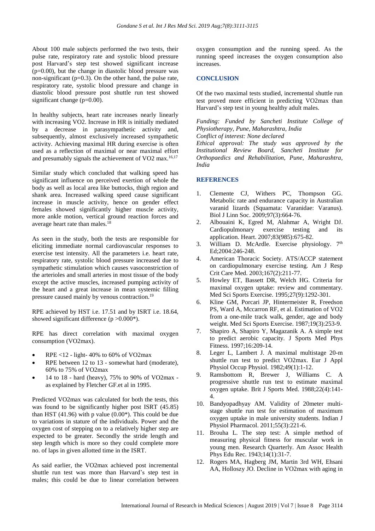About 100 male subjects performed the two tests, their pulse rate, respiratory rate and systolic blood pressure post Harvard's step test showed significant increase (p=0.00), but the change in diastolic blood pressure was non-significant  $(p=0.3)$ . On the other hand, the pulse rate, respiratory rate, systolic blood pressure and change in diastolic blood pressure post shuttle run test showed significant change (p=0.00).

In healthy subjects, heart rate increases nearly linearly with increasing VO2. Increase in HR is initially mediated by a decrease in parasympathetic activity and, subsequently, almost exclusively increased sympathetic activity. Achieving maximal HR during exercise is often used as a reflection of maximal or near maximal effort and presumably signals the achievement of VO2 max.<sup>16,17</sup>

Similar study which concluded that walking speed has significant influence on perceived exertion of whole the body as well as local area like buttocks, thigh region and shank area. Increased walking speed cause significant increase in muscle activity, hence on gender effect females showed significantly higher muscle activity, more ankle motion, vertical ground reaction forces and average heart rate than males.<sup>18</sup>

As seen in the study, both the tests are responsible for eliciting immediate normal cardiovascular responses to exercise test intensity. All the parameters i.e. heart rate, respiratory rate, systolic blood pressure increased due to sympathetic stimulation which causes vasoconstriction of the arterioles and small arteries in most tissue of the body except the active muscles, increased pumping activity of the heart and a great increase in mean systemic filling pressure caused mainly by venous contraction.<sup>19</sup>

RPE achieved by HST i.e. 17.51 and by ISRT i.e. 18.64, showed significant difference  $(p > 0.000^*)$ .

RPE has direct correlation with maximal oxygen consumption (VO2max).

- RPE <12 light- 40% to 60% of VO2max
- RPE between 12 to 13 somewhat hard (moderate), 60% to 75% of VO2max
- 14 to 18 hard (heavy), 75% to 90% of VO2max as explained by Fletcher GF.et al in 1995.

Predicted VO2max was calculated for both the tests, this was found to be significantly higher post ISRT (45.85) than HST  $(41.96)$  with p value  $(0.00^*)$ . This could be due to variations in stature of the individuals. Power and the oxygen cost of stepping on to a relatively higher step are expected to be greater. Secondly the stride length and step length which is more so they could complete more no. of laps in given allotted time in the ISRT.

As said earlier, the VO2max achieved post incremental shuttle run test was more than Harvard's step test in males; this could be due to linear correlation between oxygen consumption and the running speed. As the running speed increases the oxygen consumption also increases.

#### **CONCLUSION**

Of the two maximal tests studied, incremental shuttle run test proved more efficient in predicting VO2max than Harvard's step test in young healthy adult males.

*Funding: Funded by Sancheti Institute College of Physiotherapy, Pune, Maharashtra, India*

*Conflict of interest: None declared*

*Ethical approval: The study was approved by the Institutional Review Board, Sancheti Institute for Orthopaedics and Rehabilitation, Pune, Maharashtra, India*

# **REFERENCES**

- 1. Clemente CJ, Withers PC, Thompson GG. Metabolic rate and endurance capacity in Australian varanid lizards (Squamata: Varanidae: Varanus). Biol J Linn Soc. 2009;97(3):664-76.
- 2. Albouaini K, Egred M, Alahmar A, Wright DJ. Cardiopulmonary exercise testing and its application. Heart. 2007;83(985):675-82.
- 3. William D. McArdle. Exercise physiology.  $7<sup>th</sup>$ Ed;2004:246-248.
- 4. American Thoracic Society. ATS/ACCP statement on cardiopulmonary exercise testing. Am J Resp Crit Care Med. 2003;167(2):211-77.
- 5. Howley ET, Bassett DR, Welch HG. Criteria for maximal oxygen uptake: review and commentary. Med Sci Sports Exercise. 1995;27(9):1292-301.
- 6. Kline GM, Porcari JP, Hintermeister R, Freedson PS, Ward A, Mccarron RF, et al. Estimation of VO2 from a one-mile track walk, gender, age and body weight. Med Sci Sports Exercise. 1987;19(3):253-9.
- 7. Shapiro A, Shapiro Y, Magazanik A. A simple test to predict aerobic capacity. J Sports Med Phys Fitness. 1997;16:209-14.
- 8. Leger L, Lambert J. A maximal multistage 20-m shuttle run test to predict VO2max. Eur J Appl Physiol Occup Physiol. 1982;49(1):1-12.
- 9. Ramsbottom R, Brewer J, Williams C. A progressive shuttle run test to estimate maximal oxygen uptake. Brit J Sports Med. 1988;22(4):141- 4.
- 10. Bandyopadhyay AM. Validity of 20meter multistage shuttle run test for estimation of maximum oxygen uptake in male university students. Indian J Physiol Pharmacol. 2011;55(3):221-6.
- 11. Brouha L. The step test: A simple method of measuring physical fitness for muscular work in young men. Research Quarterly. Am Assoc Health Phys Edu Rec. 1943;14(1):31-7.
- 12. Rogers MA, Hagberg JM, Martin 3rd WH, Ehsani AA, Holloszy JO. Decline in VO2max with aging in